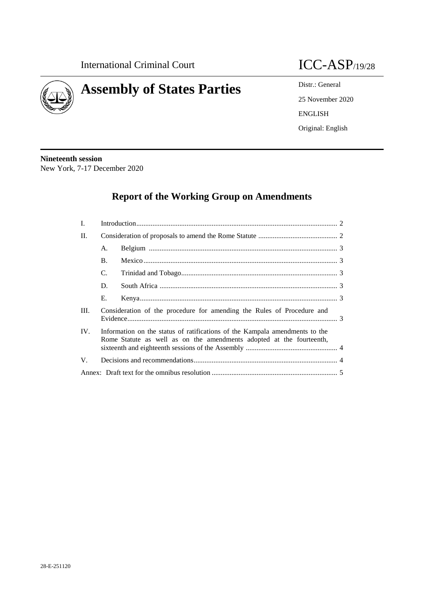

# **Assembly of States Parties** Distr.: General

25 November 2020 ENGLISH Original: English

**Nineteenth session** New York, 7-17 December 2020

## **Report of the Working Group on Amendments**

| I.  |                                                                                                                                                     |  |  |
|-----|-----------------------------------------------------------------------------------------------------------------------------------------------------|--|--|
| П.  |                                                                                                                                                     |  |  |
|     | А.                                                                                                                                                  |  |  |
|     | <b>B.</b>                                                                                                                                           |  |  |
|     | C.                                                                                                                                                  |  |  |
|     | D.                                                                                                                                                  |  |  |
|     | Е.                                                                                                                                                  |  |  |
| Ш.  | Consideration of the procedure for amending the Rules of Procedure and                                                                              |  |  |
| IV. | Information on the status of ratifications of the Kampala amendments to the<br>Rome Statute as well as on the amendments adopted at the fourteenth, |  |  |
| V.  |                                                                                                                                                     |  |  |
|     |                                                                                                                                                     |  |  |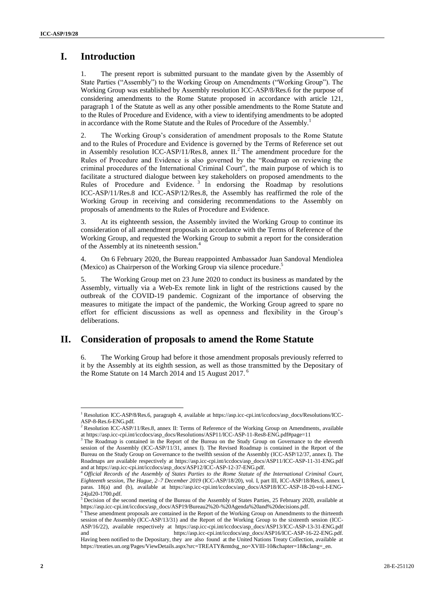### **I. Introduction**

The present report is submitted pursuant to the mandate given by the Assembly of State Parties ("Assembly") to the Working Group on Amendments ("Working Group"). The Working Group was established by Assembly resolution ICC-ASP/8/Res.6 for the purpose of considering amendments to the Rome Statute proposed in accordance with article 121, paragraph 1 of the Statute as well as any other possible amendments to the Rome Statute and to the Rules of Procedure and Evidence, with a view to identifying amendments to be adopted in accordance with the Rome Statute and the Rules of Procedure of the Assembly.<sup>1</sup>

2. The Working Group's consideration of amendment proposals to the Rome Statute and to the Rules of Procedure and Evidence is governed by the Terms of Reference set out in Assembly [resolution ICC-ASP/11/Res.8,](http://icc-cpi.int/iccdocs/asp_docs/Resolutions/ASP11/ICC-ASP-11-Res8-ENG.pdf) annex  $II<sup>2</sup>$  The amendment procedure for the Rules of Procedure and Evidence is also governed by the "Roadmap on reviewing the criminal procedures of the International Criminal Court", the main purpose of which is to facilitate a structured dialogue between key stakeholders on proposed amendments to the Rules of Procedure and Evidence.<sup>3</sup> In endorsing the Roadmap by resolutions [ICC-ASP/11/Res.8](http://icc-cpi.int/iccdocs/asp_docs/Resolutions/ASP11/ICC-ASP-11-Res8-ENG.pdf) and ICC-ASP/12/Res.8, the Assembly has reaffirmed the role of the Working Group in receiving and considering recommendations to the Assembly on proposals of amendments to the Rules of Procedure and Evidence.

3. At its eighteenth session, the Assembly invited the Working Group to continue its consideration of all amendment proposals in accordance with the Terms of Reference of the Working Group, and requested the Working Group to submit a report for the consideration of the Assembly at its nineteenth session.<sup>4</sup>

4. On 6 February 2020, the Bureau reappointed Ambassador Juan Sandoval Mendiolea (Mexico) as Chairperson of the Working Group via silence procedure. 5

5. The Working Group met on 23 June 2020 to conduct its business as mandated by the Assembly, virtually via a Web-Ex remote link in light of the restrictions caused by the outbreak of the COVID-19 pandemic. Cognizant of the importance of observing the measures to mitigate the impact of the pandemic, the Working Group agreed to spare no effort for efficient discussions as well as openness and flexibility in the Group's deliberations.

### **II. Consideration of proposals to amend the Rome Statute**

6. The Working Group had before it those amendment proposals previously referred to it by the Assembly at its eighth session, as well as those transmitted by the Depositary of the Rome Statute on 14 March 2014 and 15 August 2017.<sup>6</sup>

 $\overline{\phantom{a}}$ 

<sup>1</sup> Resolution ICC-ASP/8/Res.6, paragraph 4, available at https://asp.icc-cpi.int/iccdocs/asp\_docs/Resolutions/ICC-ASP-8-Res.6-ENG.pdf.

<sup>&</sup>lt;sup>2</sup> [Resolution ICC-ASP/11/Res.8,](http://icc-cpi.int/iccdocs/asp_docs/Resolutions/ASP11/ICC-ASP-11-Res8-ENG.pdf) annex II: Terms of Reference of the Working Group on Amendments, available at https://asp.icc-cpi.int/iccdocs/asp\_docs/Resolutions/ASP11/ICC-ASP-11-Res8-ENG.pdf#page=11

<sup>&</sup>lt;sup>3</sup> The Roadmap is contained in the Report of the Bureau on the Study Group on Governance to the eleventh session of the Assembly (ICC-ASP/11/31, annex I). The Revised Roadmap is contained in the Report of the Bureau on the Study Group on Governance to the twelfth session of the Assembly (ICC-ASP/12/37, annex I). The Roadmaps are available respectively at https://asp.icc-cpi.int/iccdocs/asp\_docs/ASP11/ICC-ASP-11-31-ENG.pdf and at https://asp.icc-cpi.int/iccdocs/asp\_docs/ASP12/ICC-ASP-12-37-ENG.pdf.

<sup>4</sup> *Official Records of the Assembly of States Parties to the Rome Statute of the International Criminal Court, Eighteenth session, The Hague, 2–7 December 2019* (ICC-ASP/18/20), vol. I, part III, ICC-ASP/18/Res.6, annex I, paras. 18(a) and (b), available at https://asp.icc-cpi.int/iccdocs/asp\_docs/ASP18/ICC-ASP-18-20-vol-I-ENG-24jul20-1700.pdf.

 $5$  Decision of the second meeting of the Bureau of the Assembly of States Parties, 25 February 2020, available at https://asp.icc-cpi.int/iccdocs/asp\_docs/ASP19/Bureau2%20-%20Agenda%20and%20decisions.pdf.

<sup>6</sup> These amendment proposals are contained in the Report of the Working Group on Amendments to the thirteenth session of the Assembly (ICC-ASP/13/31) and the Report of the Working Group to the sixteenth session (ICC-ASP/16/22), available respectively at https://asp.icc-cpi.int/iccdocs/asp\_docs/ASP13/ICC-ASP-13-31-ENG.pdf and https://asp.icc-cpi.int/iccdocs/asp\_docs/ASP16/ICC-ASP-16-22-ENG.pdf.

Having been notified to the Depositary, they are also found at the United Nations Treaty Collection, available at [https://treaties.un.org/Pages/ViewDetails.aspx?src=TREATY&mtdsg\\_no=XVIII-10&chapter=18&clang=\\_en.](https://treaties.un.org/Pages/ViewDetails.aspx?src=TREATY&mtdsg_no=XVIII-10&chapter=18&clang=_en)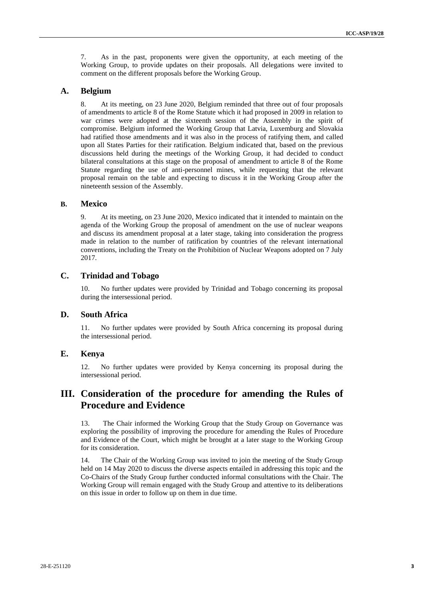7. As in the past, proponents were given the opportunity, at each meeting of the Working Group, to provide updates on their proposals. All delegations were invited to comment on the different proposals before the Working Group.

#### **A. Belgium**

8. At its meeting, on 23 June 2020, Belgium reminded that three out of four proposals of amendments to article 8 of the Rome Statute which it had proposed in 2009 in relation to war crimes were adopted at the sixteenth session of the Assembly in the spirit of compromise. Belgium informed the Working Group that Latvia, Luxemburg and Slovakia had ratified those amendments and it was also in the process of ratifying them, and called upon all States Parties for their ratification. Belgium indicated that, based on the previous discussions held during the meetings of the Working Group, it had decided to conduct bilateral consultations at this stage on the proposal of amendment to article 8 of the Rome Statute regarding the use of anti-personnel mines, while requesting that the relevant proposal remain on the table and expecting to discuss it in the Working Group after the nineteenth session of the Assembly.

#### **B. Mexico**

9. At its meeting, on 23 June 2020, Mexico indicated that it intended to maintain on the agenda of the Working Group the proposal of amendment on the use of nuclear weapons and discuss its amendment proposal at a later stage, taking into consideration the progress made in relation to the number of ratification by countries of the relevant international conventions, including the Treaty on the Prohibition of Nuclear Weapons adopted on 7 July 2017.

#### **C. Trinidad and Tobago**

10. No further updates were provided by Trinidad and Tobago concerning its proposal during the intersessional period.

#### **D. South Africa**

11. No further updates were provided by South Africa concerning its proposal during the intersessional period.

#### **E. Kenya**

12. No further updates were provided by Kenya concerning its proposal during the intersessional period.

### **III. Consideration of the procedure for amending the Rules of Procedure and Evidence**

13. The Chair informed the Working Group that the Study Group on Governance was exploring the possibility of improving the procedure for amending the Rules of Procedure and Evidence of the Court, which might be brought at a later stage to the Working Group for its consideration.

14. The Chair of the Working Group was invited to join the meeting of the Study Group held on 14 May 2020 to discuss the diverse aspects entailed in addressing this topic and the Co-Chairs of the Study Group further conducted informal consultations with the Chair. The Working Group will remain engaged with the Study Group and attentive to its deliberations on this issue in order to follow up on them in due time.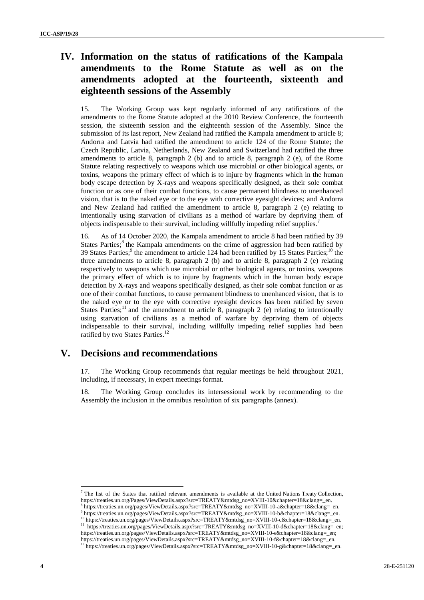### **IV. Information on the status of ratifications of the Kampala amendments to the Rome Statute as well as on the amendments adopted at the fourteenth, sixteenth and eighteenth sessions of the Assembly**

15. The Working Group was kept regularly informed of any ratifications of the amendments to the Rome Statute adopted at the 2010 Review Conference, the fourteenth session, the sixteenth session and the eighteenth session of the Assembly. Since the submission of its last report, New Zealand had ratified the Kampala amendment to article 8; Andorra and Latvia had ratified the amendment to article 124 of the Rome Statute; the Czech Republic, Latvia, Netherlands, New Zealand and Switzerland had ratified the three amendments to article 8, paragraph 2 (b) and to article 8, paragraph 2 (e), of the Rome Statute relating respectively to weapons which use microbial or other biological agents, or toxins, weapons the primary effect of which is to injure by fragments which in the human body escape detection by X-rays and weapons specifically designed, as their sole combat function or as one of their combat functions, to cause permanent blindness to unenhanced vision, that is to the naked eye or to the eye with corrective eyesight devices; and Andorra and New Zealand had ratified the amendment to article 8, paragraph 2 (e) relating to intentionally using starvation of civilians as a method of warfare by depriving them of objects indispensable to their survival, including willfully impeding relief supplies.<sup>7</sup>

16. As of 14 October 2020, the Kampala amendment to article 8 had been ratified by 39 States Parties;<sup>8</sup> the Kampala amendments on the crime of aggression had been ratified by 39 States Parties;<sup>9</sup> the amendment to article 124 had been ratified by 15 States Parties;<sup>10</sup> the three amendments to article 8, paragraph 2 (b) and to article 8, paragraph 2 (e) relating respectively to weapons which use microbial or other biological agents, or toxins, weapons the primary effect of which is to injure by fragments which in the human body escape detection by X-rays and weapons specifically designed, as their sole combat function or as one of their combat functions, to cause permanent blindness to unenhanced vision, that is to the naked eye or to the eye with corrective eyesight devices has been ratified by seven States Parties;<sup>11</sup> and the amendment to article 8, paragraph 2 (e) relating to intentionally using starvation of civilians as a method of warfare by depriving them of objects indispensable to their survival, including willfully impeding relief supplies had been ratified by two States Parties.<sup>12</sup>

#### **V. Decisions and recommendations**

17. The Working Group recommends that regular meetings be held throughout 2021, including, if necessary, in expert meetings format.

18. The Working Group concludes its intersessional work by recommending to the Assembly the inclusion in the omnibus resolution of six paragraphs (annex).

<sup>7</sup> The list of the States that ratified relevant amendments is available at the United Nations Treaty Collection, [https://treaties.un.org/Pages/ViewDetails.aspx?src=TREATY&mtdsg\\_no=XVIII-10&chapter=18&clang=\\_en.](https://treaties.un.org/Pages/ViewDetails.aspx?src=TREATY&mtdsg_no=XVIII-10&chapter=18&clang=_en)

 $\overline{a}$ 

<sup>8</sup> https://treaties.un.org/pages/ViewDetails.aspx?src=TREATY&mtdsg\_no=XVIII-10-a&chapter=18&clang=\_en.

<sup>9</sup> [https://treaties.un.org/pages/ViewDetails.aspx?src=TREATY&mtdsg\\_no=XVIII-10-b&chapter=18&clang=\\_en.](https://treaties.un.org/pages/ViewDetails.aspx?src=TREATY&mtdsg_no=XVIII-10-b&chapter=18&clang=_en) <sup>10</sup> https://treaties.un.org/pages/ViewDetails.aspx?src=TREATY&mtdsg\_no=XVIII-10-c&chapter=18&clang=\_en.

<sup>11</sup> https://treaties.un.org/pages/ViewDetails.aspx?src=TREATY&mtdsg\_no=XVIII-10-d&chapter=18&clang=\_en; https://treaties.un.org/pages/ViewDetails.aspx?src=TREATY&mtdsg\_no=XVIII-10-e&chapter=18&clang=\_en;

https://treaties.un.org/pages/ViewDetails.aspx?src=TREATY&mtdsg\_no=XVIII-10-f&chapter=18&clang=\_en. <sup>12</sup> https://treaties.un.org/pages/ViewDetails.aspx?src=TREATY&mtdsg\_no=XVIII-10-g&chapter=18&clang=\_en.